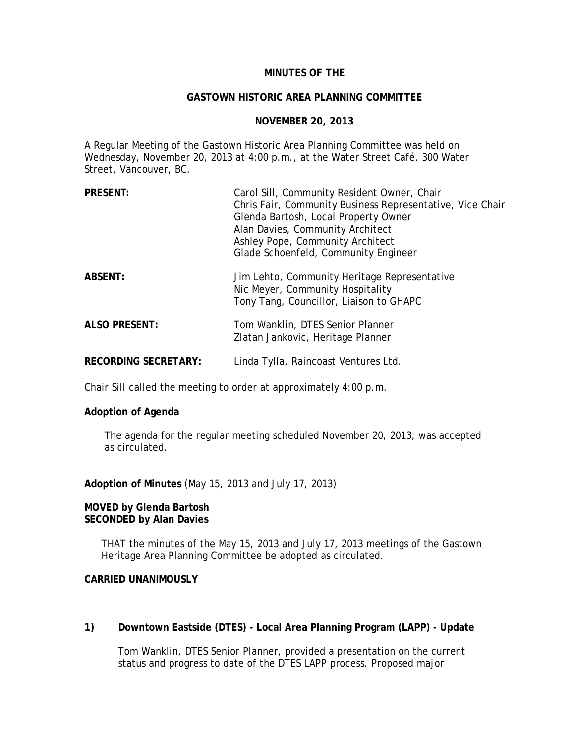# **MINUTES OF THE**

#### **GASTOWN HISTORIC AREA PLANNING COMMITTEE**

#### **NOVEMBER 20, 2013**

A Regular Meeting of the Gastown Historic Area Planning Committee was held on Wednesday, November 20, 2013 at 4:00 p.m., at the Water Street Café, 300 Water Street, Vancouver, BC.

| <b>PRESENT:</b>             | Carol Sill, Community Resident Owner, Chair<br>Chris Fair, Community Business Representative, Vice Chair<br>Glenda Bartosh, Local Property Owner<br>Alan Davies, Community Architect<br>Ashley Pope, Community Architect<br>Glade Schoenfeld, Community Engineer |
|-----------------------------|------------------------------------------------------------------------------------------------------------------------------------------------------------------------------------------------------------------------------------------------------------------|
| <b>ABSENT:</b>              | Jim Lehto, Community Heritage Representative<br>Nic Meyer, Community Hospitality<br>Tony Tang, Councillor, Liaison to GHAPC                                                                                                                                      |
| <b>ALSO PRESENT:</b>        | Tom Wanklin, DTES Senior Planner<br>Zlatan Jankovic, Heritage Planner                                                                                                                                                                                            |
| <b>RECORDING SECRETARY:</b> | Linda Tylla, Raincoast Ventures Ltd.                                                                                                                                                                                                                             |

Chair Sill called the meeting to order at approximately 4:00 p.m.

## **Adoption of Agenda**

The agenda for the regular meeting scheduled November 20, 2013, was accepted as circulated.

**Adoption of Minutes** (May 15, 2013 and July 17, 2013)

#### **MOVED by Glenda Bartosh SECONDED by Alan Davies**

THAT the minutes of the May 15, 2013 and July 17, 2013 meetings of the Gastown Heritage Area Planning Committee be adopted as circulated.

# **CARRIED UNANIMOUSLY**

## **1) Downtown Eastside (DTES) - Local Area Planning Program (LAPP) - Update**

Tom Wanklin, DTES Senior Planner, provided a presentation on the current status and progress to date of the DTES LAPP process. Proposed major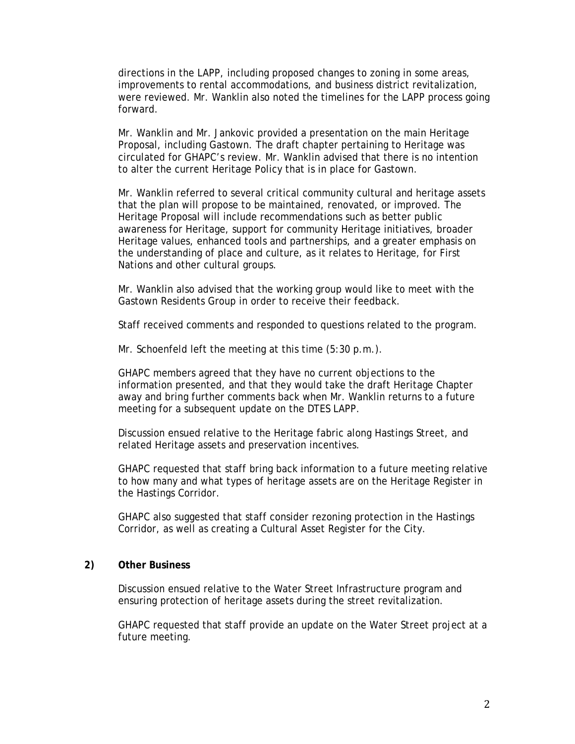directions in the LAPP, including proposed changes to zoning in some areas, improvements to rental accommodations, and business district revitalization, were reviewed. Mr. Wanklin also noted the timelines for the LAPP process going forward.

Mr. Wanklin and Mr. Jankovic provided a presentation on the main Heritage Proposal, including Gastown. The draft chapter pertaining to Heritage was circulated for GHAPC's review. Mr. Wanklin advised that there is no intention to alter the current Heritage Policy that is in place for Gastown.

Mr. Wanklin referred to several critical community cultural and heritage assets that the plan will propose to be maintained, renovated, or improved. The Heritage Proposal will include recommendations such as better public awareness for Heritage, support for community Heritage initiatives, broader Heritage values, enhanced tools and partnerships, and a greater emphasis on the understanding of place and culture, as it relates to Heritage, for First Nations and other cultural groups.

Mr. Wanklin also advised that the working group would like to meet with the Gastown Residents Group in order to receive their feedback.

Staff received comments and responded to questions related to the program.

Mr. Schoenfeld left the meeting at this time (5:30 p.m.).

GHAPC members agreed that they have no current objections to the information presented, and that they would take the draft Heritage Chapter away and bring further comments back when Mr. Wanklin returns to a future meeting for a subsequent update on the DTES LAPP.

Discussion ensued relative to the Heritage fabric along Hastings Street, and related Heritage assets and preservation incentives.

GHAPC requested that staff bring back information to a future meeting relative to how many and what types of heritage assets are on the Heritage Register in the Hastings Corridor.

GHAPC also suggested that staff consider rezoning protection in the Hastings Corridor, as well as creating a Cultural Asset Register for the City.

# **2) Other Business**

Discussion ensued relative to the Water Street Infrastructure program and ensuring protection of heritage assets during the street revitalization.

GHAPC requested that staff provide an update on the Water Street project at a future meeting.